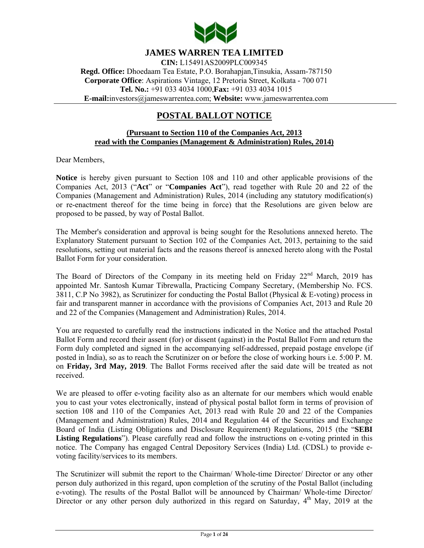

# **JAMES WARREN TEA LIMITED**

**CIN:** L15491AS2009PLC009345 **Regd. Office:** Dhoedaam Tea Estate, P.O. Borahapjan,Tinsukia, Assam-787150 **Corporate Office**: Aspirations Vintage, 12 Pretoria Street, Kolkata - 700 071 **Tel. No.:** +91 033 4034 1000,**Fax:** +91 033 4034 1015 **E-mail:**investors@jameswarrentea.com; **Website:** www.jameswarrentea.com

# **POSTAL BALLOT NOTICE**

#### **(Pursuant to Section 110 of the Companies Act, 2013 read with the Companies (Management & Administration) Rules, 2014)**

Dear Members,

**Notice** is hereby given pursuant to Section 108 and 110 and other applicable provisions of the Companies Act, 2013 ("**Act**" or "**Companies Act**"), read together with Rule 20 and 22 of the Companies (Management and Administration) Rules, 2014 (including any statutory modification(s) or re-enactment thereof for the time being in force) that the Resolutions are given below are proposed to be passed, by way of Postal Ballot.

The Member's consideration and approval is being sought for the Resolutions annexed hereto. The Explanatory Statement pursuant to Section 102 of the Companies Act, 2013, pertaining to the said resolutions, setting out material facts and the reasons thereof is annexed hereto along with the Postal Ballot Form for your consideration.

The Board of Directors of the Company in its meeting held on Friday  $22<sup>nd</sup>$  March, 2019 has appointed Mr. Santosh Kumar Tibrewalla, Practicing Company Secretary, (Membership No. FCS. 3811, C.P No 3982), as Scrutinizer for conducting the Postal Ballot (Physical & E-voting) process in fair and transparent manner in accordance with the provisions of Companies Act, 2013 and Rule 20 and 22 of the Companies (Management and Administration) Rules, 2014.

You are requested to carefully read the instructions indicated in the Notice and the attached Postal Ballot Form and record their assent (for) or dissent (against) in the Postal Ballot Form and return the Form duly completed and signed in the accompanying self-addressed, prepaid postage envelope (if posted in India), so as to reach the Scrutinizer on or before the close of working hours i.e. 5:00 P. M. on **Friday, 3rd May, 2019**. The Ballot Forms received after the said date will be treated as not received.

We are pleased to offer e-voting facility also as an alternate for our members which would enable you to cast your votes electronically, instead of physical postal ballot form in terms of provision of section 108 and 110 of the Companies Act, 2013 read with Rule 20 and 22 of the Companies (Management and Administration) Rules, 2014 and Regulation 44 of the Securities and Exchange Board of India (Listing Obligations and Disclosure Requirement) Regulations, 2015 (the "**SEBI Listing Regulations**"). Please carefully read and follow the instructions on e-voting printed in this notice. The Company has engaged Central Depository Services (India) Ltd. (CDSL) to provide evoting facility/services to its members.

The Scrutinizer will submit the report to the Chairman/ Whole-time Director/ Director or any other person duly authorized in this regard, upon completion of the scrutiny of the Postal Ballot (including e-voting). The results of the Postal Ballot will be announced by Chairman/ Whole-time Director/ Director or any other person duly authorized in this regard on Saturday, 4<sup>th</sup> May, 2019 at the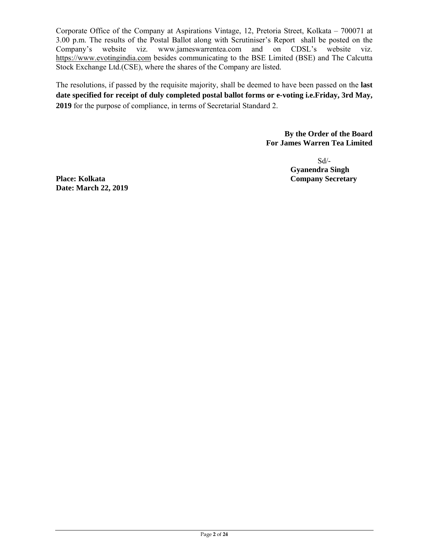Corporate Office of the Company at Aspirations Vintage, 12, Pretoria Street, Kolkata – 700071 at 3.00 p.m. The results of the Postal Ballot along with Scrutiniser's Report shall be posted on the Company's website viz. www.jameswarrentea.com and on CDSL's website viz. https://www.evotingindia.com besides communicating to the BSE Limited (BSE) and The Calcutta Stock Exchange Ltd.(CSE), where the shares of the Company are listed.

The resolutions, if passed by the requisite majority, shall be deemed to have been passed on the **last date specified for receipt of duly completed postal ballot forms or e-voting i.e.Friday, 3rd May, 2019** for the purpose of compliance, in terms of Secretarial Standard 2.

> **By the Order of the Board For James Warren Tea Limited**

**Place: Kolkata Company Secretary Date: March 22, 2019**

Sd/- **Gyanendra Singh**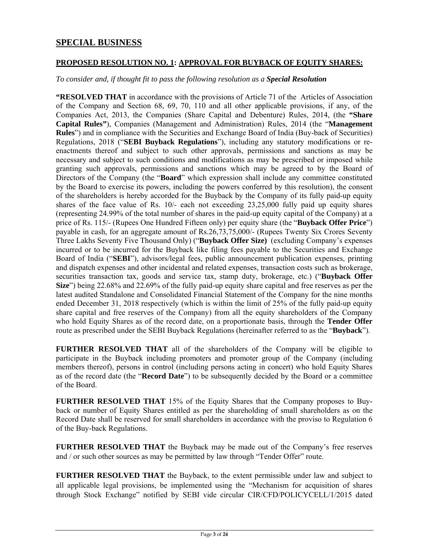# **SPECIAL BUSINESS**

### **PROPOSED RESOLUTION NO. 1: APPROVAL FOR BUYBACK OF EQUITY SHARES:**

#### *To consider and, if thought fit to pass the following resolution as a Special Resolution*

**"RESOLVED THAT** in accordance with the provisions of Article 71 of the Articles of Association of the Company and Section 68, 69, 70, 110 and all other applicable provisions, if any, of the Companies Act, 2013, the Companies (Share Capital and Debenture) Rules, 2014, (the **"Share Capital Rules"**), Companies (Management and Administration) Rules, 2014 (the "**Management Rules**") and in compliance with the Securities and Exchange Board of India (Buy-back of Securities) Regulations, 2018 ("**SEBI Buyback Regulations**"), including any statutory modifications or reenactments thereof and subject to such other approvals, permissions and sanctions as may be necessary and subject to such conditions and modifications as may be prescribed or imposed while granting such approvals, permissions and sanctions which may be agreed to by the Board of Directors of the Company (the "**Board**" which expression shall include any committee constituted by the Board to exercise its powers, including the powers conferred by this resolution), the consent of the shareholders is hereby accorded for the Buyback by the Company of its fully paid-up equity shares of the face value of Rs. 10/- each not exceeding 23,25,000 fully paid up equity shares (representing 24.99% of the total number of shares in the paid-up equity capital of the Company) at a price of Rs. 115/- (Rupees One Hundred Fifteen only) per equity share (the "**Buyback Offer Price**") payable in cash, for an aggregate amount of Rs.26,73,75,000/- (Rupees Twenty Six Crores Seventy Three Lakhs Seventy Five Thousand Only) ("**Buyback Offer Size)** (excluding Company's expenses incurred or to be incurred for the Buyback like filing fees payable to the Securities and Exchange Board of India ("**SEBI**"), advisors/legal fees, public announcement publication expenses, printing and dispatch expenses and other incidental and related expenses, transaction costs such as brokerage, securities transaction tax, goods and service tax, stamp duty, brokerage, etc.) ("**Buyback Offer Size**") being 22.68% and 22.69% of the fully paid-up equity share capital and free reserves as per the latest audited Standalone and Consolidated Financial Statement of the Company for the nine months ended December 31, 2018 respectively (which is within the limit of 25% of the fully paid-up equity share capital and free reserves of the Company) from all the equity shareholders of the Company who hold Equity Shares as of the record date, on a proportionate basis, through the **Tender Offer** route as prescribed under the SEBI Buyback Regulations (hereinafter referred to as the "**Buyback**").

**FURTHER RESOLVED THAT** all of the shareholders of the Company will be eligible to participate in the Buyback including promoters and promoter group of the Company (including members thereof), persons in control (including persons acting in concert) who hold Equity Shares as of the record date (the "**Record Date**") to be subsequently decided by the Board or a committee of the Board.

**FURTHER RESOLVED THAT** 15% of the Equity Shares that the Company proposes to Buyback or number of Equity Shares entitled as per the shareholding of small shareholders as on the Record Date shall be reserved for small shareholders in accordance with the proviso to Regulation 6 of the Buy-back Regulations.

**FURTHER RESOLVED THAT** the Buyback may be made out of the Company's free reserves and / or such other sources as may be permitted by law through "Tender Offer" route.

**FURTHER RESOLVED THAT** the Buyback, to the extent permissible under law and subject to all applicable legal provisions, be implemented using the "Mechanism for acquisition of shares through Stock Exchange" notified by SEBI vide circular CIR/CFD/POLICYCELL/1/2015 dated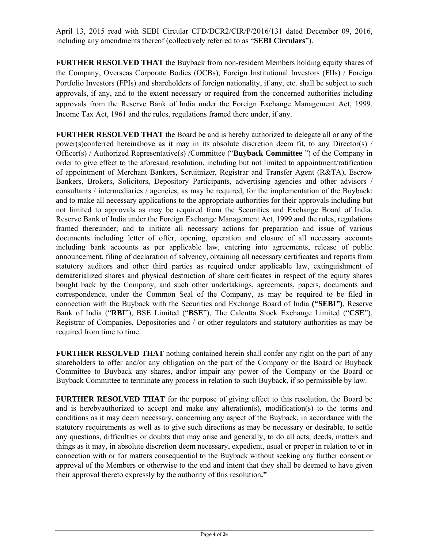April 13, 2015 read with SEBI Circular CFD/DCR2/CIR/P/2016/131 dated December 09, 2016, including any amendments thereof (collectively referred to as "**SEBI Circulars**").

**FURTHER RESOLVED THAT** the Buyback from non-resident Members holding equity shares of the Company, Overseas Corporate Bodies (OCBs), Foreign Institutional Investors (FIIs) / Foreign Portfolio Investors (FPIs) and shareholders of foreign nationality, if any, etc. shall be subject to such approvals, if any, and to the extent necessary or required from the concerned authorities including approvals from the Reserve Bank of India under the Foreign Exchange Management Act, 1999, Income Tax Act, 1961 and the rules, regulations framed there under, if any.

**FURTHER RESOLVED THAT** the Board be and is hereby authorized to delegate all or any of the power(s)conferred hereinabove as it may in its absolute discretion deem fit, to any Director(s) / Officer(s) / Authorized Representative(s) /Committee ("**Buyback Committee** ") of the Company in order to give effect to the aforesaid resolution, including but not limited to appointment/ratification of appointment of Merchant Bankers, Scruitnizer, Registrar and Transfer Agent (R&TA), Escrow Bankers, Brokers, Solicitors, Depository Participants, advertising agencies and other advisors / consultants / intermediaries / agencies, as may be required, for the implementation of the Buyback; and to make all necessary applications to the appropriate authorities for their approvals including but not limited to approvals as may be required from the Securities and Exchange Board of India, Reserve Bank of India under the Foreign Exchange Management Act, 1999 and the rules, regulations framed thereunder; and to initiate all necessary actions for preparation and issue of various documents including letter of offer, opening, operation and closure of all necessary accounts including bank accounts as per applicable law, entering into agreements, release of public announcement, filing of declaration of solvency, obtaining all necessary certificates and reports from statutory auditors and other third parties as required under applicable law, extinguishment of dematerialized shares and physical destruction of share certificates in respect of the equity shares bought back by the Company, and such other undertakings, agreements, papers, documents and correspondence, under the Common Seal of the Company, as may be required to be filed in connection with the Buyback with the Securities and Exchange Board of India **("SEBI")**, Reserve Bank of India ("**RBI**"), BSE Limited ("**BSE**"), The Calcutta Stock Exchange Limited ("**CSE**"), Registrar of Companies, Depositories and / or other regulators and statutory authorities as may be required from time to time.

**FURTHER RESOLVED THAT** nothing contained herein shall confer any right on the part of any shareholders to offer and/or any obligation on the part of the Company or the Board or Buyback Committee to Buyback any shares, and/or impair any power of the Company or the Board or Buyback Committee to terminate any process in relation to such Buyback, if so permissible by law.

**FURTHER RESOLVED THAT** for the purpose of giving effect to this resolution, the Board be and is herebyauthorized to accept and make any alteration(s), modification(s) to the terms and conditions as it may deem necessary, concerning any aspect of the Buyback, in accordance with the statutory requirements as well as to give such directions as may be necessary or desirable, to settle any questions, difficulties or doubts that may arise and generally, to do all acts, deeds, matters and things as it may, in absolute discretion deem necessary, expedient, usual or proper in relation to or in connection with or for matters consequential to the Buyback without seeking any further consent or approval of the Members or otherwise to the end and intent that they shall be deemed to have given their approval thereto expressly by the authority of this resolution**."**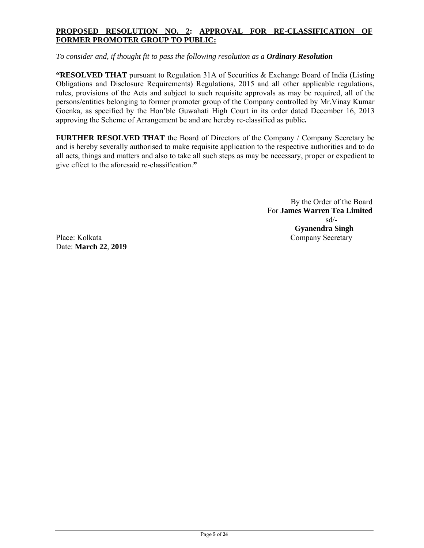### **PROPOSED RESOLUTION NO. 2: APPROVAL FOR RE-CLASSIFICATION OF FORMER PROMOTER GROUP TO PUBLIC:**

*To consider and, if thought fit to pass the following resolution as a Ordinary Resolution*

**"RESOLVED THAT** pursuant to Regulation 31A of Securities & Exchange Board of India (Listing Obligations and Disclosure Requirements) Regulations, 2015 and all other applicable regulations, rules, provisions of the Acts and subject to such requisite approvals as may be required, all of the persons/entities belonging to former promoter group of the Company controlled by Mr.Vinay Kumar Goenka, as specified by the Hon'ble Guwahati High Court in its order dated December 16, 2013 approving the Scheme of Arrangement be and are hereby re-classified as public**.** 

**FURTHER RESOLVED THAT** the Board of Directors of the Company / Company Secretary be and is hereby severally authorised to make requisite application to the respective authorities and to do all acts, things and matters and also to take all such steps as may be necessary, proper or expedient to give effect to the aforesaid re-classification.**"** 

By the Order of the Board For **James Warren Tea Limited** sd/- **Gyanendra Singh** Place: Kolkata Company Secretary

Date: **March 22**, **2019**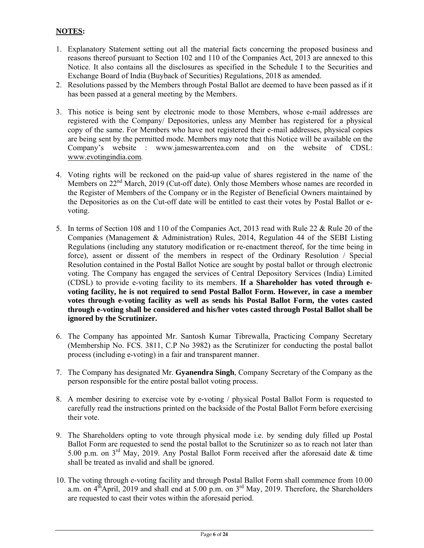# **NOTES:**

- 1. Explanatory Statement setting out all the material facts concerning the proposed business and reasons thereof pursuant to Section 102 and 110 of the Companies Act, 2013 are annexed to this Notice. It also contains all the disclosures as specified in the Schedule I to the Securities and Exchange Board of India (Buyback of Securities) Regulations, 2018 as amended.
- 2. Resolutions passed by the Members through Postal Ballot are deemed to have been passed as if it has been passed at a general meeting by the Members.
- 3. This notice is being sent by electronic mode to those Members, whose e-mail addresses are registered with the Company/ Depositories, unless any Member has registered for a physical copy of the same. For Members who have not registered their e-mail addresses, physical copies are being sent by the permitted mode. Members may note that this Notice will be available on the Company's website : www.jameswarrentea.com and on the website of CDSL: www.evotingindia.com.
- 4. Voting rights will be reckoned on the paid-up value of shares registered in the name of the Members on 22<sup>nd</sup> March, 2019 (Cut-off date). Only those Members whose names are recorded in the Register of Members of the Company or in the Register of Beneficial Owners maintained by the Depositories as on the Cut-off date will be entitled to cast their votes by Postal Ballot or evoting.
- 5. In terms of Section 108 and 110 of the Companies Act, 2013 read with Rule 22 & Rule 20 of the Companies (Management & Administration) Rules, 2014, Regulation 44 of the SEBI Listing Regulations (including any statutory modification or re-enactment thereof, for the time being in force), assent or dissent of the members in respect of the Ordinary Resolution / Special Resolution contained in the Postal Ballot Notice are sought by postal ballot or through electronic voting. The Company has engaged the services of Central Depository Services (India) Limited (CDSL) to provide e-voting facility to its members. **If a Shareholder has voted through evoting facility, he is not required to send Postal Ballot Form. However, in case a member votes through e-voting facility as well as sends his Postal Ballot Form, the votes casted through e-voting shall be considered and his/her votes casted through Postal Ballot shall be ignored by the Scrutinizer.**
- 6. The Company has appointed Mr. Santosh Kumar Tibrewalla, Practicing Company Secretary (Membership No. FCS. 3811, C.P No 3982) as the Scrutinizer for conducting the postal ballot process (including e-voting) in a fair and transparent manner.
- 7. The Company has designated Mr. **Gyanendra Singh**, Company Secretary of the Company as the person responsible for the entire postal ballot voting process.
- 8. A member desiring to exercise vote by e-voting / physical Postal Ballot Form is requested to carefully read the instructions printed on the backside of the Postal Ballot Form before exercising their vote.
- 9. The Shareholders opting to vote through physical mode i.e. by sending duly filled up Postal Ballot Form are requested to send the postal ballot to the Scrutinizer so as to reach not later than 5.00 p.m. on  $3<sup>rd</sup>$  May, 2019. Any Postal Ballot Form received after the aforesaid date & time shall be treated as invalid and shall be ignored.
- 10. The voting through e-voting facility and through Postal Ballot Form shall commence from 10.00 a.m. on  $4^{th}$ April, 2019 and shall end at 5.00 p.m. on 3<sup>rd</sup> May, 2019. Therefore, the Shareholders are requested to cast their votes within the aforesaid period.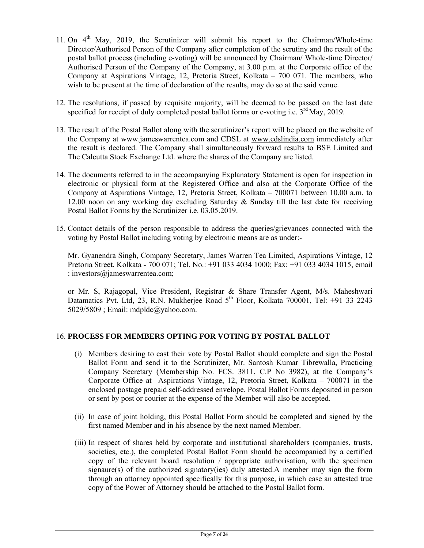- 11. On  $4<sup>th</sup>$  May, 2019, the Scrutinizer will submit his report to the Chairman/Whole-time Director/Authorised Person of the Company after completion of the scrutiny and the result of the postal ballot process (including e-voting) will be announced by Chairman/ Whole-time Director/ Authorised Person of the Company of the Company, at 3.00 p.m. at the Corporate office of the Company at Aspirations Vintage, 12, Pretoria Street, Kolkata – 700 071. The members, who wish to be present at the time of declaration of the results, may do so at the said venue.
- 12. The resolutions, if passed by requisite majority, will be deemed to be passed on the last date specified for receipt of duly completed postal ballot forms or e-voting i.e. 3<sup>rd</sup> May, 2019.
- 13. The result of the Postal Ballot along with the scrutinizer's report will be placed on the website of the Company at www.jameswarrentea.com and CDSL at www.cdslindia.com immediately after the result is declared. The Company shall simultaneously forward results to BSE Limited and The Calcutta Stock Exchange Ltd. where the shares of the Company are listed.
- 14. The documents referred to in the accompanying Explanatory Statement is open for inspection in electronic or physical form at the Registered Office and also at the Corporate Office of the Company at Aspirations Vintage, 12, Pretoria Street, Kolkata – 700071 between 10.00 a.m. to 12.00 noon on any working day excluding Saturday & Sunday till the last date for receiving Postal Ballot Forms by the Scrutinizer i.e. 03.05.2019.
- 15. Contact details of the person responsible to address the queries/grievances connected with the voting by Postal Ballot including voting by electronic means are as under:-

Mr. Gyanendra Singh, Company Secretary, James Warren Tea Limited, Aspirations Vintage, 12 Pretoria Street, Kolkata - 700 071; Tel. No.: +91 033 4034 1000; Fax: +91 033 4034 1015, email : investors@jameswarrentea.com;

or Mr. S, Rajagopal, Vice President, Registrar & Share Transfer Agent, M/s. Maheshwari Datamatics Pvt. Ltd, 23, R.N. Mukherjee Road 5<sup>th</sup> Floor, Kolkata 700001, Tel: +91 33 2243 5029/5809 ; Email: mdpldc@yahoo.com.

### 16. **PROCESS FOR MEMBERS OPTING FOR VOTING BY POSTAL BALLOT**

- (i) Members desiring to cast their vote by Postal Ballot should complete and sign the Postal Ballot Form and send it to the Scrutinizer, Mr. Santosh Kumar Tibrewalla, Practicing Company Secretary (Membership No. FCS. 3811, C.P No 3982), at the Company's Corporate Office at Aspirations Vintage, 12, Pretoria Street, Kolkata – 700071 in the enclosed postage prepaid self-addressed envelope. Postal Ballot Forms deposited in person or sent by post or courier at the expense of the Member will also be accepted.
- (ii) In case of joint holding, this Postal Ballot Form should be completed and signed by the first named Member and in his absence by the next named Member.
- (iii) In respect of shares held by corporate and institutional shareholders (companies, trusts, societies, etc.), the completed Postal Ballot Form should be accompanied by a certified copy of the relevant board resolution / appropriate authorisation, with the specimen signaure(s) of the authorized signatory(ies) duly attested.A member may sign the form through an attorney appointed specifically for this purpose, in which case an attested true copy of the Power of Attorney should be attached to the Postal Ballot form.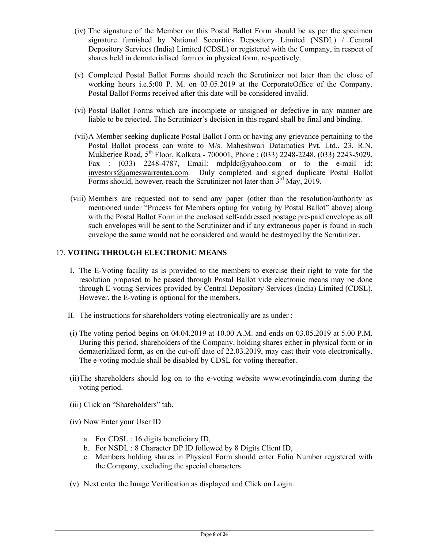- (iv) The signature of the Member on this Postal Ballot Form should be as per the specimen signature furnished by National Securities Depository Limited (NSDL) / Central Depository Services (India) Limited (CDSL) or registered with the Company, in respect of shares held in dematerialised form or in physical form, respectively.
- (v) Completed Postal Ballot Forms should reach the Scrutinizer not later than the close of working hours i.e.5:00 P. M. on 03.05.2019 at the CorporateOffice of the Company. Postal Ballot Forms received after this date will be considered invalid.
- (vi) Postal Ballot Forms which are incomplete or unsigned or defective in any manner are liable to be rejected. The Scrutinizer's decision in this regard shall be final and binding.
- (vii)A Member seeking duplicate Postal Ballot Form or having any grievance pertaining to the Postal Ballot process can write to M/s. Maheshwari Datamatics Pvt. Ltd., 23, R.N. Mukherjee Road, 5<sup>th</sup> Floor, Kolkata - 700001, Phone : (033) 2248-2248, (033) 2243-5029, Fax :  $(033)$  2248-4787, Email: mdpldc@yahoo.com or to the e-mail id: investors@jameswarrentea.com. Duly completed and signed duplicate Postal Ballot Forms should, however, reach the Scrutinizer not later than  $3<sup>rd</sup>$  May, 2019.
- (viii) Members are requested not to send any paper (other than the resolution/authority as mentioned under "Process for Members opting for voting by Postal Ballot" above) along with the Postal Ballot Form in the enclosed self-addressed postage pre-paid envelope as all such envelopes will be sent to the Scrutinizer and if any extraneous paper is found in such envelope the same would not be considered and would be destroyed by the Scrutinizer.

### 17. **VOTING THROUGH ELECTRONIC MEANS**

- I. The E-Voting facility as is provided to the members to exercise their right to vote for the resolution proposed to be passed through Postal Ballot vide electronic means may be done through E-voting Services provided by Central Depository Services (India) Limited (CDSL). However, the E-voting is optional for the members.
- II. The instructions for shareholders voting electronically are as under :
- (i) The voting period begins on 04.04.2019 at 10.00 A.M. and ends on 03.05.2019 at 5.00 P.M. During this period, shareholders of the Company, holding shares either in physical form or in dematerialized form, as on the cut-off date of 22.03.2019, may cast their vote electronically. The e-voting module shall be disabled by CDSL for voting thereafter.
- (ii)The shareholders should log on to the e-voting website www.evotingindia.com during the voting period.
- (iii) Click on "Shareholders" tab.
- (iv) Now Enter your User ID
	- a. For CDSL : 16 digits beneficiary ID,
	- b. For NSDL : 8 Character DP ID followed by 8 Digits Client ID,
	- c. Members holding shares in Physical Form should enter Folio Number registered with the Company, excluding the special characters.
- (v) Next enter the Image Verification as displayed and Click on Login.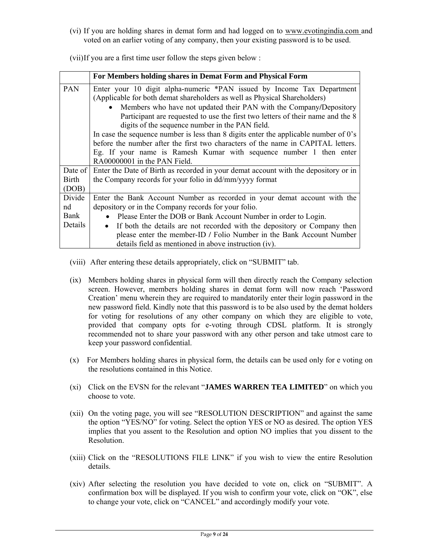(vi) If you are holding shares in demat form and had logged on to www.evotingindia.com and voted on an earlier voting of any company, then your existing password is to be used.

|              | For Members holding shares in Demat Form and Physical Form                              |  |  |  |  |
|--------------|-----------------------------------------------------------------------------------------|--|--|--|--|
| <b>PAN</b>   | Enter your 10 digit alpha-numeric *PAN issued by Income Tax Department                  |  |  |  |  |
|              | (Applicable for both demat shareholders as well as Physical Shareholders)               |  |  |  |  |
|              | Members who have not updated their PAN with the Company/Depository<br>$\bullet$         |  |  |  |  |
|              | Participant are requested to use the first two letters of their name and the 8          |  |  |  |  |
|              | digits of the sequence number in the PAN field.                                         |  |  |  |  |
|              | In case the sequence number is less than 8 digits enter the applicable number of $0$ 's |  |  |  |  |
|              | before the number after the first two characters of the name in CAPITAL letters.        |  |  |  |  |
|              | Eg. If your name is Ramesh Kumar with sequence number 1 then enter                      |  |  |  |  |
|              | RA00000001 in the PAN Field.                                                            |  |  |  |  |
| Date of      | Enter the Date of Birth as recorded in your demat account with the depository or in     |  |  |  |  |
| <b>Birth</b> | the Company records for your folio in dd/mm/yyyy format                                 |  |  |  |  |
| (DOB)        |                                                                                         |  |  |  |  |
| Divide       | Enter the Bank Account Number as recorded in your demat account with the                |  |  |  |  |
| nd           | depository or in the Company records for your folio.                                    |  |  |  |  |
| Bank         | Please Enter the DOB or Bank Account Number in order to Login.                          |  |  |  |  |
| Details      | If both the details are not recorded with the depository or Company then<br>$\bullet$   |  |  |  |  |
|              | please enter the member-ID / Folio Number in the Bank Account Number                    |  |  |  |  |
|              | details field as mentioned in above instruction (iv).                                   |  |  |  |  |

- (viii) After entering these details appropriately, click on "SUBMIT" tab.
- (ix) Members holding shares in physical form will then directly reach the Company selection screen. However, members holding shares in demat form will now reach 'Password Creation' menu wherein they are required to mandatorily enter their login password in the new password field. Kindly note that this password is to be also used by the demat holders for voting for resolutions of any other company on which they are eligible to vote, provided that company opts for e-voting through CDSL platform. It is strongly recommended not to share your password with any other person and take utmost care to keep your password confidential.
- (x) For Members holding shares in physical form, the details can be used only for e voting on the resolutions contained in this Notice.
- (xi) Click on the EVSN for the relevant "**JAMES WARREN TEA LIMITED**" on which you choose to vote.
- (xii) On the voting page, you will see "RESOLUTION DESCRIPTION" and against the same the option "YES/NO" for voting. Select the option YES or NO as desired. The option YES implies that you assent to the Resolution and option NO implies that you dissent to the Resolution.
- (xiii) Click on the "RESOLUTIONS FILE LINK" if you wish to view the entire Resolution details.
- (xiv) After selecting the resolution you have decided to vote on, click on "SUBMIT". A confirmation box will be displayed. If you wish to confirm your vote, click on "OK", else to change your vote, click on "CANCEL" and accordingly modify your vote.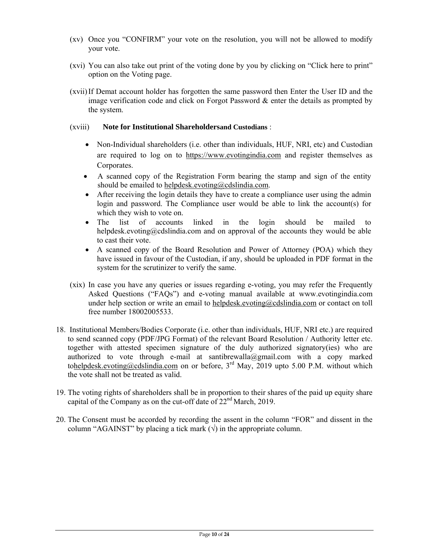- (xv) Once you "CONFIRM" your vote on the resolution, you will not be allowed to modify your vote.
- (xvi) You can also take out print of the voting done by you by clicking on "Click here to print" option on the Voting page.
- (xvii)If Demat account holder has forgotten the same password then Enter the User ID and the image verification code and click on Forgot Password & enter the details as prompted by the system.

#### (xviii) **Note for Institutional Shareholdersand Custodians** :

- Non-Individual shareholders (i.e. other than individuals, HUF, NRI, etc) and Custodian are required to log on to https://www.evotingindia.com and register themselves as Corporates.
- A scanned copy of the Registration Form bearing the stamp and sign of the entity should be emailed to helpdesk.evoting@cdslindia.com.
- After receiving the login details they have to create a compliance user using the admin login and password. The Compliance user would be able to link the account(s) for which they wish to vote on.
- The list of accounts linked in the login should be mailed to helpdesk.evoting@cdslindia.com and on approval of the accounts they would be able to cast their vote.
- A scanned copy of the Board Resolution and Power of Attorney (POA) which they have issued in favour of the Custodian, if any, should be uploaded in PDF format in the system for the scrutinizer to verify the same.
- (xix) In case you have any queries or issues regarding e-voting, you may refer the Frequently Asked Questions ("FAQs") and e-voting manual available at www.evotingindia.com under help section or write an email to helpdesk.evoting@cdslindia.com or contact on toll free number 18002005533.
- 18. Institutional Members/Bodies Corporate (i.e. other than individuals, HUF, NRI etc.) are required to send scanned copy (PDF/JPG Format) of the relevant Board Resolution / Authority letter etc. together with attested specimen signature of the duly authorized signatory(ies) who are authorized to vote through e-mail at santibrewalla@gmail.com with a copy marked tohelpdesk.evoting@cdslindia.com on or before,  $3<sup>rd</sup>$  May, 2019 upto 5.00 P.M. without which the vote shall not be treated as valid.
- 19. The voting rights of shareholders shall be in proportion to their shares of the paid up equity share capital of the Company as on the cut-off date of  $22<sup>nd</sup> March, 2019$ .
- 20. The Consent must be accorded by recording the assent in the column "FOR" and dissent in the column "AGAINST" by placing a tick mark  $(\forall)$  in the appropriate column.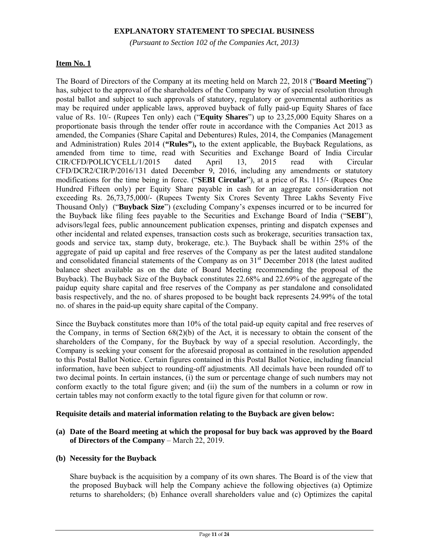### **EXPLANATORY STATEMENT TO SPECIAL BUSINESS**

*(Pursuant to Section 102 of the Companies Act, 2013)* 

#### **Item No. 1**

The Board of Directors of the Company at its meeting held on March 22, 2018 ("**Board Meeting**") has, subject to the approval of the shareholders of the Company by way of special resolution through postal ballot and subject to such approvals of statutory, regulatory or governmental authorities as may be required under applicable laws, approved buyback of fully paid-up Equity Shares of face value of Rs. 10/- (Rupees Ten only) each ("**Equity Shares**") up to 23,25,000 Equity Shares on a proportionate basis through the tender offer route in accordance with the Companies Act 2013 as amended, the Companies (Share Capital and Debentures) Rules, 2014, the Companies (Management and Administration) Rules 2014 (**"Rules"**)**,** to the extent applicable, the Buyback Regulations, as amended from time to time, read with Securities and Exchange Board of India Circular CIR/CFD/POLICYCELL/1/2015 dated April 13, 2015 read with Circular CFD/DCR2/CIR/P/2016/131 dated December 9, 2016, including any amendments or statutory modifications for the time being in force. ("**SEBI Circular**"), at a price of Rs. 115/- (Rupees One Hundred Fifteen only) per Equity Share payable in cash for an aggregate consideration not exceeding Rs. 26,73,75,000/- (Rupees Twenty Six Crores Seventy Three Lakhs Seventy Five Thousand Only) ("**Buyback Size**") (excluding Company's expenses incurred or to be incurred for the Buyback like filing fees payable to the Securities and Exchange Board of India ("**SEBI**"), advisors/legal fees, public announcement publication expenses, printing and dispatch expenses and other incidental and related expenses, transaction costs such as brokerage, securities transaction tax, goods and service tax, stamp duty, brokerage, etc.). The Buyback shall be within 25% of the aggregate of paid up capital and free reserves of the Company as per the latest audited standalone and consolidated financial statements of the Company as on  $31<sup>st</sup>$  December 2018 (the latest audited balance sheet available as on the date of Board Meeting recommending the proposal of the Buyback). The Buyback Size of the Buyback constitutes 22.68% and 22.69% of the aggregate of the paidup equity share capital and free reserves of the Company as per standalone and consolidated basis respectively, and the no. of shares proposed to be bought back represents 24.99% of the total no. of shares in the paid-up equity share capital of the Company.

Since the Buyback constitutes more than 10% of the total paid-up equity capital and free reserves of the Company, in terms of Section 68(2)(b) of the Act, it is necessary to obtain the consent of the shareholders of the Company, for the Buyback by way of a special resolution. Accordingly, the Company is seeking your consent for the aforesaid proposal as contained in the resolution appended to this Postal Ballot Notice. Certain figures contained in this Postal Ballot Notice, including financial information, have been subject to rounding-off adjustments. All decimals have been rounded off to two decimal points. In certain instances, (i) the sum or percentage change of such numbers may not conform exactly to the total figure given; and (ii) the sum of the numbers in a column or row in certain tables may not conform exactly to the total figure given for that column or row.

#### **Requisite details and material information relating to the Buyback are given below:**

**(a) Date of the Board meeting at which the proposal for buy back was approved by the Board of Directors of the Company** – March 22, 2019.

#### **(b) Necessity for the Buyback**

Share buyback is the acquisition by a company of its own shares. The Board is of the view that the proposed Buyback will help the Company achieve the following objectives (a) Optimize returns to shareholders; (b) Enhance overall shareholders value and (c) Optimizes the capital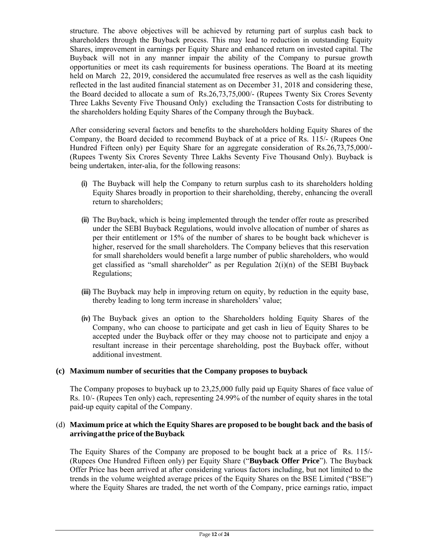structure. The above objectives will be achieved by returning part of surplus cash back to shareholders through the Buyback process. This may lead to reduction in outstanding Equity Shares, improvement in earnings per Equity Share and enhanced return on invested capital. The Buyback will not in any manner impair the ability of the Company to pursue growth opportunities or meet its cash requirements for business operations. The Board at its meeting held on March 22, 2019, considered the accumulated free reserves as well as the cash liquidity reflected in the last audited financial statement as on December 31, 2018 and considering these, the Board decided to allocate a sum of Rs.26,73,75,000/- (Rupees Twenty Six Crores Seventy Three Lakhs Seventy Five Thousand Only) excluding the Transaction Costs for distributing to the shareholders holding Equity Shares of the Company through the Buyback.

After considering several factors and benefits to the shareholders holding Equity Shares of the Company, the Board decided to recommend Buyback of at a price of Rs. 115/- (Rupees One Hundred Fifteen only) per Equity Share for an aggregate consideration of Rs.26,73,75,000/- (Rupees Twenty Six Crores Seventy Three Lakhs Seventy Five Thousand Only). Buyback is being undertaken, inter-alia, for the following reasons:

- **(i)** The Buyback will help the Company to return surplus cash to its shareholders holding Equity Shares broadly in proportion to their shareholding, thereby, enhancing the overall return to shareholders;
- **(ii)** The Buyback, which is being implemented through the tender offer route as prescribed under the SEBI Buyback Regulations, would involve allocation of number of shares as per their entitlement or 15% of the number of shares to be bought back whichever is higher, reserved for the small shareholders. The Company believes that this reservation for small shareholders would benefit a large number of public shareholders, who would get classified as "small shareholder" as per Regulation  $2(i)(n)$  of the SEBI Buyback Regulations;
- **(iii)** The Buyback may help in improving return on equity, by reduction in the equity base, thereby leading to long term increase in shareholders' value;
- **(iv)** The Buyback gives an option to the Shareholders holding Equity Shares of the Company, who can choose to participate and get cash in lieu of Equity Shares to be accepted under the Buyback offer or they may choose not to participate and enjoy a resultant increase in their percentage shareholding, post the Buyback offer, without additional investment.

### **(c) Maximum number of securities that the Company proposes to buyback**

The Company proposes to buyback up to 23,25,000 fully paid up Equity Shares of face value of Rs. 10/- (Rupees Ten only) each, representing 24.99% of the number of equity shares in the total paid-up equity capital of the Company.

#### (d) **Maximum price at which the Equity Shares are proposed to be bought back and the basis of arriving at the price of the Buyback**

The Equity Shares of the Company are proposed to be bought back at a price of Rs. 115/- (Rupees One Hundred Fifteen only) per Equity Share ("**Buyback Offer Price**"). The Buyback Offer Price has been arrived at after considering various factors including, but not limited to the trends in the volume weighted average prices of the Equity Shares on the BSE Limited ("BSE") where the Equity Shares are traded, the net worth of the Company, price earnings ratio, impact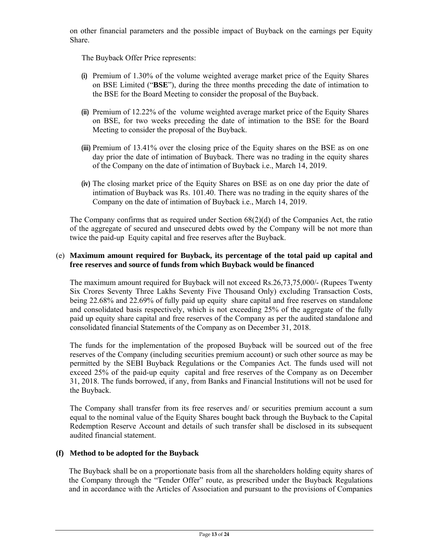on other financial parameters and the possible impact of Buyback on the earnings per Equity Share.

The Buyback Offer Price represents:

- **(i)** Premium of 1.30% of the volume weighted average market price of the Equity Shares on BSE Limited ("**BSE**"), during the three months preceding the date of intimation to the BSE for the Board Meeting to consider the proposal of the Buyback.
- **(ii)** Premium of 12.22% of the volume weighted average market price of the Equity Shares on BSE, for two weeks preceding the date of intimation to the BSE for the Board Meeting to consider the proposal of the Buyback.
- **(iii)** Premium of 13.41% over the closing price of the Equity shares on the BSE as on one day prior the date of intimation of Buyback. There was no trading in the equity shares of the Company on the date of intimation of Buyback i.e., March 14, 2019.
- **(iv)** The closing market price of the Equity Shares on BSE as on one day prior the date of intimation of Buyback was Rs. 101.40. There was no trading in the equity shares of the Company on the date of intimation of Buyback i.e., March 14, 2019.

The Company confirms that as required under Section  $68(2)(d)$  of the Companies Act, the ratio of the aggregate of secured and unsecured debts owed by the Company will be not more than twice the paid-up Equity capital and free reserves after the Buyback.

#### (e) **Maximum amount required for Buyback, its percentage of the total paid up capital and free reserves and source of funds from which Buyback would be financed**

The maximum amount required for Buyback will not exceed Rs.26,73,75,000/- (Rupees Twenty Six Crores Seventy Three Lakhs Seventy Five Thousand Only) excluding Transaction Costs, being 22.68% and 22.69% of fully paid up equity share capital and free reserves on standalone and consolidated basis respectively, which is not exceeding 25% of the aggregate of the fully paid up equity share capital and free reserves of the Company as per the audited standalone and consolidated financial Statements of the Company as on December 31, 2018.

The funds for the implementation of the proposed Buyback will be sourced out of the free reserves of the Company (including securities premium account) or such other source as may be permitted by the SEBI Buyback Regulations or the Companies Act. The funds used will not exceed 25% of the paid-up equity capital and free reserves of the Company as on December 31, 2018. The funds borrowed, if any, from Banks and Financial Institutions will not be used for the Buyback.

The Company shall transfer from its free reserves and/ or securities premium account a sum equal to the nominal value of the Equity Shares bought back through the Buyback to the Capital Redemption Reserve Account and details of such transfer shall be disclosed in its subsequent audited financial statement.

#### **(f) Method to be adopted for the Buyback**

The Buyback shall be on a proportionate basis from all the shareholders holding equity shares of the Company through the "Tender Offer" route, as prescribed under the Buyback Regulations and in accordance with the Articles of Association and pursuant to the provisions of Companies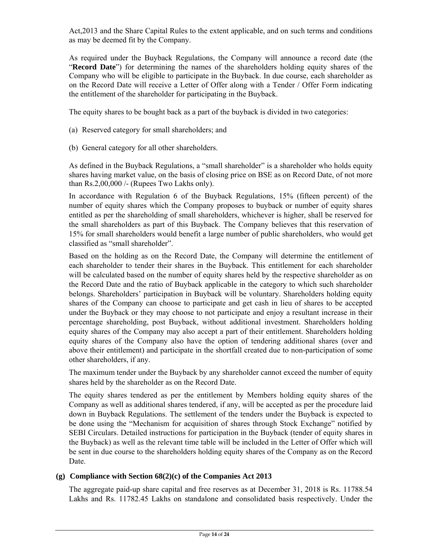Act,2013 and the Share Capital Rules to the extent applicable, and on such terms and conditions as may be deemed fit by the Company.

As required under the Buyback Regulations, the Company will announce a record date (the "**Record Date**") for determining the names of the shareholders holding equity shares of the Company who will be eligible to participate in the Buyback. In due course, each shareholder as on the Record Date will receive a Letter of Offer along with a Tender / Offer Form indicating the entitlement of the shareholder for participating in the Buyback.

The equity shares to be bought back as a part of the buyback is divided in two categories:

- (a) Reserved category for small shareholders; and
- (b) General category for all other shareholders.

As defined in the Buyback Regulations, a "small shareholder" is a shareholder who holds equity shares having market value, on the basis of closing price on BSE as on Record Date, of not more than Rs.2,00,000 /- (Rupees Two Lakhs only).

In accordance with Regulation 6 of the Buyback Regulations, 15% (fifteen percent) of the number of equity shares which the Company proposes to buyback or number of equity shares entitled as per the shareholding of small shareholders, whichever is higher, shall be reserved for the small shareholders as part of this Buyback. The Company believes that this reservation of 15% for small shareholders would benefit a large number of public shareholders, who would get classified as "small shareholder".

Based on the holding as on the Record Date, the Company will determine the entitlement of each shareholder to tender their shares in the Buyback. This entitlement for each shareholder will be calculated based on the number of equity shares held by the respective shareholder as on the Record Date and the ratio of Buyback applicable in the category to which such shareholder belongs. Shareholders' participation in Buyback will be voluntary. Shareholders holding equity shares of the Company can choose to participate and get cash in lieu of shares to be accepted under the Buyback or they may choose to not participate and enjoy a resultant increase in their percentage shareholding, post Buyback, without additional investment. Shareholders holding equity shares of the Company may also accept a part of their entitlement. Shareholders holding equity shares of the Company also have the option of tendering additional shares (over and above their entitlement) and participate in the shortfall created due to non-participation of some other shareholders, if any.

The maximum tender under the Buyback by any shareholder cannot exceed the number of equity shares held by the shareholder as on the Record Date.

The equity shares tendered as per the entitlement by Members holding equity shares of the Company as well as additional shares tendered, if any, will be accepted as per the procedure laid down in Buyback Regulations. The settlement of the tenders under the Buyback is expected to be done using the "Mechanism for acquisition of shares through Stock Exchange" notified by SEBI Circulars. Detailed instructions for participation in the Buyback (tender of equity shares in the Buyback) as well as the relevant time table will be included in the Letter of Offer which will be sent in due course to the shareholders holding equity shares of the Company as on the Record Date.

### **(g) Compliance with Section 68(2)(c) of the Companies Act 2013**

The aggregate paid-up share capital and free reserves as at December 31, 2018 is Rs. 11788.54 Lakhs and Rs. 11782.45 Lakhs on standalone and consolidated basis respectively. Under the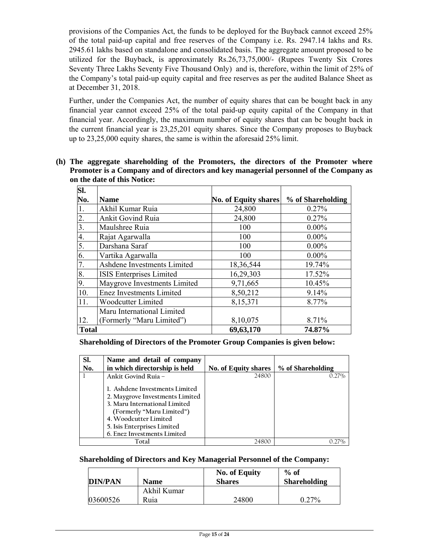provisions of the Companies Act, the funds to be deployed for the Buyback cannot exceed 25% of the total paid-up capital and free reserves of the Company i.e. Rs. 2947.14 lakhs and Rs. 2945.61 lakhs based on standalone and consolidated basis. The aggregate amount proposed to be utilized for the Buyback, is approximately Rs.26,73,75,000/- (Rupees Twenty Six Crores Seventy Three Lakhs Seventy Five Thousand Only) and is, therefore, within the limit of 25% of the Company's total paid-up equity capital and free reserves as per the audited Balance Sheet as at December 31, 2018.

Further, under the Companies Act, the number of equity shares that can be bought back in any financial year cannot exceed 25% of the total paid-up equity capital of the Company in that financial year. Accordingly, the maximum number of equity shares that can be bought back in the current financial year is 23,25,201 equity shares. Since the Company proposes to Buyback up to 23,25,000 equity shares, the same is within the aforesaid 25% limit.

**(h) The aggregate shareholding of the Promoters, the directors of the Promoter where Promoter is a Company and of directors and key managerial personnel of the Company as on the date of this Notice:** 

| SI.          |                                 |                             |                   |
|--------------|---------------------------------|-----------------------------|-------------------|
| No.          | <b>Name</b>                     | <b>No. of Equity shares</b> | % of Shareholding |
|              | Akhil Kumar Ruia                | 24,800                      | 0.27%             |
| 2.           | <b>Ankit Govind Ruia</b>        | 24,800                      | 0.27%             |
| 3.           | Maulshree Ruia                  | 100                         | $0.00\%$          |
| 4.           | Rajat Agarwalla                 | 100                         | $0.00\%$          |
| 5.           | Darshana Saraf                  | 100                         | $0.00\%$          |
| 6.           | Vartika Agarwalla               | 100                         | $0.00\%$          |
| 7.           | Ashdene Investments Limited     | 18,36,544                   | 19.74%            |
| 8.           | ISIS Enterprises Limited        | 16,29,303                   | 17.52%            |
| 9.           | Maygrove Investments Limited    | 9,71,665                    | 10.45%            |
| 10.          | <b>Enez Investments Limited</b> | 8,50,212                    | 9.14%             |
| 11.          | <b>Woodcutter Limited</b>       | 8,15,371                    | 8.77%             |
|              | Maru International Limited      |                             |                   |
| 12.          | (Formerly "Maru Limited")       | 8,10,075                    | 8.71%             |
| <b>Total</b> |                                 | 69,63,170                   | 74.87%            |

**Shareholding of Directors of the Promoter Group Companies is given below:** 

| SI. | Name and detail of company                                                                                                                                                                                             |                             |                   |
|-----|------------------------------------------------------------------------------------------------------------------------------------------------------------------------------------------------------------------------|-----------------------------|-------------------|
| No. | in which directorship is held                                                                                                                                                                                          | <b>No. of Equity shares</b> | % of Shareholding |
|     | Ankit Govind Ruia -                                                                                                                                                                                                    | 24800                       | 0.27%             |
|     | 1. Ashdene Investments Limited<br>2. Maygrove Investments Limited<br>3. Maru International Limited<br>(Formerly "Maru Limited")<br>4. Woodcutter Limited<br>5. Isis Enterprises Limited<br>6. Enez Investments Limited |                             |                   |
|     | Total                                                                                                                                                                                                                  | 24800                       |                   |

### **Shareholding of Directors and Key Managerial Personnel of the Company:**

| <b>DIN/PAN</b> | Name                | <b>No. of Equity</b><br><b>Shares</b> | $%$ of<br><b>Shareholding</b> |
|----------------|---------------------|---------------------------------------|-------------------------------|
| 03600526       | Akhil Kumar<br>Ruia | 24800                                 | $0.27\%$                      |
|                |                     |                                       |                               |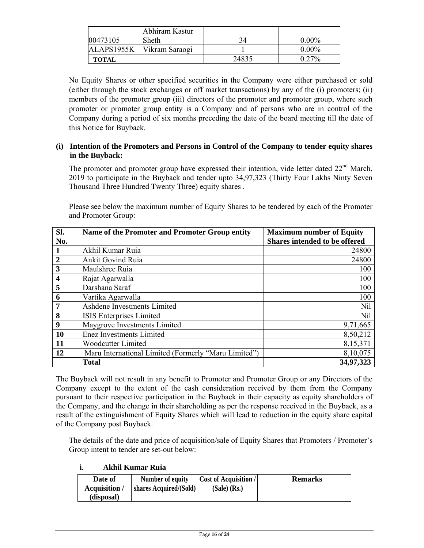| 00473105     | Abhiram Kastur<br>Sheth | 34    | $0.00\%$ |
|--------------|-------------------------|-------|----------|
| ALAPS1955K   | Vikram Saraogi          |       | $0.00\%$ |
| <b>TOTAL</b> |                         | 24835 | $0.27\%$ |

No Equity Shares or other specified securities in the Company were either purchased or sold (either through the stock exchanges or off market transactions) by any of the (i) promoters; (ii) members of the promoter group (iii) directors of the promoter and promoter group, where such promoter or promoter group entity is a Company and of persons who are in control of the Company during a period of six months preceding the date of the board meeting till the date of this Notice for Buyback.

#### **(i) Intention of the Promoters and Persons in Control of the Company to tender equity shares in the Buyback:**

The promoter and promoter group have expressed their intention, vide letter dated 22<sup>nd</sup> March, 2019 to participate in the Buyback and tender upto 34,97,323 (Thirty Four Lakhs Ninty Seven Thousand Three Hundred Twenty Three) equity shares .

Please see below the maximum number of Equity Shares to be tendered by each of the Promoter and Promoter Group:

| SI.                     | Name of the Promoter and Promoter Group entity       | <b>Maximum number of Equity</b> |
|-------------------------|------------------------------------------------------|---------------------------------|
| No.                     |                                                      | Shares intended to be offered   |
| $\mathbf{1}$            | Akhil Kumar Ruia                                     | 24800                           |
| $\overline{2}$          | <b>Ankit Govind Ruia</b>                             | 24800                           |
| $\overline{\mathbf{3}}$ | Maulshree Ruia                                       | 100                             |
| $\overline{\mathbf{4}}$ | Rajat Agarwalla                                      | 100                             |
| 5                       | Darshana Saraf                                       | 100                             |
| 6                       | Vartika Agarwalla                                    | 100                             |
| $\overline{7}$          | Ashdene Investments Limited                          | Nil                             |
| 8                       | ISIS Enterprises Limited                             | Nil                             |
| 9                       | Maygrove Investments Limited                         | 9,71,665                        |
| 10                      | <b>Enez Investments Limited</b>                      | 8,50,212                        |
| 11                      | <b>Woodcutter Limited</b>                            | 8,15,371                        |
| 12                      | Maru International Limited (Formerly "Maru Limited") | 8,10,075                        |
|                         | <b>Total</b>                                         | 34,97,323                       |

The Buyback will not result in any benefit to Promoter and Promoter Group or any Directors of the Company except to the extent of the cash consideration received by them from the Company pursuant to their respective participation in the Buyback in their capacity as equity shareholders of the Company, and the change in their shareholding as per the response received in the Buyback, as a result of the extinguishment of Equity Shares which will lead to reduction in the equity share capital of the Company post Buyback.

The details of the date and price of acquisition/sale of Equity Shares that Promoters / Promoter's Group intent to tender are set-out below:

**i. Akhil Kumar Ruia** 

| Date of            | Number of equity       | <b>Cost of Acquisition</b> / | <b>Remarks</b> |
|--------------------|------------------------|------------------------------|----------------|
| <b>Acquisition</b> | shares Acquired/(Sold) | $(Sale)$ (Rs.)               |                |
| (disposal)         |                        |                              |                |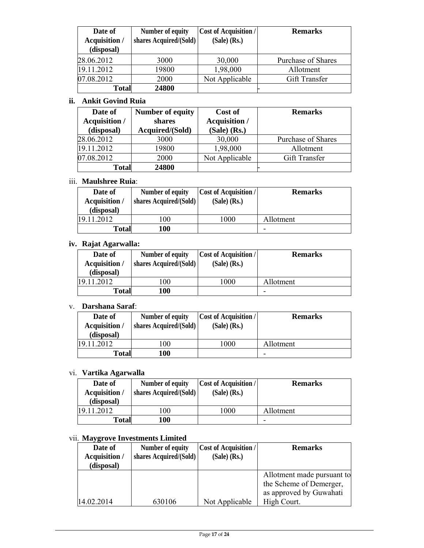| Date of<br>Acquisition /<br>(disposal) | Number of equity<br>shares Acquired/(Sold) | <b>Cost of Acquisition /</b><br>$(Sale)$ $(Rs.)$ | <b>Remarks</b>     |
|----------------------------------------|--------------------------------------------|--------------------------------------------------|--------------------|
| 28.06.2012                             | 3000                                       | 30,000                                           | Purchase of Shares |
| 19.11.2012                             | 19800                                      | 1,98,000                                         | Allotment          |
| 07.08.2012                             | 2000                                       | Not Applicable                                   | Gift Transfer      |
| <b>Total</b>                           | 24800                                      |                                                  |                    |

### **ii. Ankit Govind Ruia**

| Date of              | <b>Number of equity</b> | Cost of              | <b>Remarks</b>     |
|----------------------|-------------------------|----------------------|--------------------|
| <b>Acquisition /</b> | shares                  | <b>Acquisition /</b> |                    |
| (disposal)           | Acquired/(Sold)         | $(Sale)$ $(Rs.)$     |                    |
| 28.06.2012           | 3000                    | 30,000               | Purchase of Shares |
| 19.11.2012           | 19800                   | 1,98,000             | Allotment          |
| 07.08.2012           | 2000                    | Not Applicable       | Gift Transfer      |
| <b>Total</b>         | 24800                   |                      |                    |

### iii. **Maulshree Ruia**:

| Date of<br>Acquisition/ | Number of equity<br>shares Acquired/(Sold) | <b>Cost of Acquisition</b> /<br>$(Sale)$ $(Rs.)$ | <b>Remarks</b> |
|-------------------------|--------------------------------------------|--------------------------------------------------|----------------|
| (disposal)              |                                            |                                                  |                |
| 19.11.2012              | 100                                        | 1000                                             | Allotment      |
| <b>Total</b>            | 100                                        |                                                  |                |

### **iv. Rajat Agarwalla:**

| Date of<br><b>Acquisition /</b><br>(disposal) | Number of equity<br>shares Acquired/(Sold) | <b>Cost of Acquisition /</b><br>$(Sale)$ $(Rs.)$ | <b>Remarks</b> |
|-----------------------------------------------|--------------------------------------------|--------------------------------------------------|----------------|
| 19.11.2012                                    | 100                                        | 1000                                             | Allotment      |
| <b>Total</b>                                  | 100                                        |                                                  | -              |

# v. **Darshana Saraf**:

| Date of<br><b>Acquisition /</b><br>(disposal) | Number of equity<br>shares Acquired/(Sold) | <b>Cost of Acquisition</b> /<br>$(Sale)$ (Rs.) | <b>Remarks</b> |
|-----------------------------------------------|--------------------------------------------|------------------------------------------------|----------------|
| 19.11.2012                                    | 100                                        | l 000                                          | Allotment      |
| <b>Total</b>                                  | 100                                        |                                                |                |

### vi. **Vartika Agarwalla**

| Date of<br><b>Acquisition</b> /<br>(disposal) | Number of equity<br>shares Acquired/(Sold) | <b>Cost of Acquisition</b> /<br>$(Sale)$ $(Rs.)$ | <b>Remarks</b> |
|-----------------------------------------------|--------------------------------------------|--------------------------------------------------|----------------|
| .2012<br>19.11                                | 100                                        | 1000                                             | Allotment      |
| Total                                         | 100                                        |                                                  | -              |

# vii. **Maygrove Investments Limited**

| Date of              | Number of equity       | Cost of Acquisition / | <b>Remarks</b>             |
|----------------------|------------------------|-----------------------|----------------------------|
| <b>Acquisition /</b> | shares Acquired/(Sold) | $(Sale)$ (Rs.)        |                            |
| (disposal)           |                        |                       |                            |
|                      |                        |                       | Allotment made pursuant to |
|                      |                        |                       | the Scheme of Demerger,    |
|                      |                        |                       | as approved by Guwahati    |
| 14.02.2014           | 630106                 | Not Applicable        | High Court.                |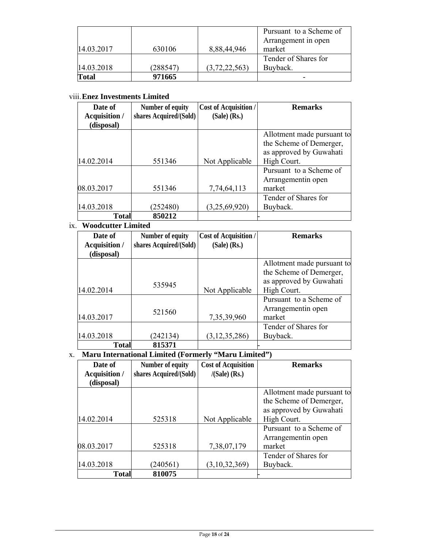| Total      | 971665   |                  |                                                |
|------------|----------|------------------|------------------------------------------------|
| 14.03.2018 | (288547) | (3, 72, 22, 563) | Buyback.                                       |
|            |          |                  | Tender of Shares for                           |
| 14.03.2017 | 630106   | 8,88,44,946      | market                                         |
|            |          |                  | Pursuant to a Scheme of<br>Arrangement in open |

# viii.**Enez Investments Limited**

| Date of              | Number of equity       | <b>Cost of Acquisition /</b> | <b>Remarks</b>             |
|----------------------|------------------------|------------------------------|----------------------------|
| <b>Acquisition</b> / | shares Acquired/(Sold) | $(Sale)$ (Rs.)               |                            |
| (disposal)           |                        |                              |                            |
|                      |                        |                              | Allotment made pursuant to |
|                      |                        |                              | the Scheme of Demerger,    |
|                      |                        |                              | as approved by Guwahati    |
| 14.02.2014           | 551346                 | Not Applicable               | High Court.                |
|                      |                        |                              | Pursuant to a Scheme of    |
|                      |                        |                              | Arrangementin open         |
| 08.03.2017           | 551346                 | 7,74,64,113                  | market                     |
|                      |                        |                              | Tender of Shares for       |
| 14.03.2018           | (252480)               | (3,25,69,920)                | Buyback.                   |
| <b>Total</b>         | 850212                 |                              |                            |

### ix. **Woodcutter Limited**

| Date of              | Number of equity       | <b>Cost of Acquisition /</b> | <b>Remarks</b>             |
|----------------------|------------------------|------------------------------|----------------------------|
| <b>Acquisition</b> / | shares Acquired/(Sold) | $(Sale)$ (Rs.)               |                            |
| (disposal)           |                        |                              |                            |
|                      |                        |                              | Allotment made pursuant to |
|                      |                        |                              | the Scheme of Demerger,    |
|                      | 535945                 |                              | as approved by Guwahati    |
| 14.02.2014           |                        | Not Applicable               | High Court.                |
|                      |                        |                              | Pursuant to a Scheme of    |
|                      | 521560                 |                              | Arrangementin open         |
| 14.03.2017           |                        | 7,35,39,960                  | market                     |
|                      |                        |                              | Tender of Shares for       |
| 14.03.2018           | (242134)               | (3, 12, 35, 286)             | Buyback.                   |
| <b>Total</b>         | 815371                 |                              |                            |

# x. **Maru International Limited (Formerly "Maru Limited")**

| Date of<br><b>Acquisition /</b><br>(disposal) | Number of equity<br>shares Acquired/(Sold) | <b>Cost of Acquisition</b><br>$/(Sale)$ (Rs.) | <b>Remarks</b>                                                                   |
|-----------------------------------------------|--------------------------------------------|-----------------------------------------------|----------------------------------------------------------------------------------|
|                                               |                                            |                                               | Allotment made pursuant to<br>the Scheme of Demerger,<br>as approved by Guwahati |
| 14.02.2014                                    | 525318                                     | Not Applicable                                | High Court.                                                                      |
| 08.03.2017                                    | 525318                                     | 7,38,07,179                                   | Pursuant to a Scheme of<br>Arrangementin open<br>market                          |
| 14.03.2018                                    | (240561)                                   | (3,10,32,369)                                 | Tender of Shares for<br>Buyback.                                                 |
| <b>Total</b>                                  | 810075                                     |                                               |                                                                                  |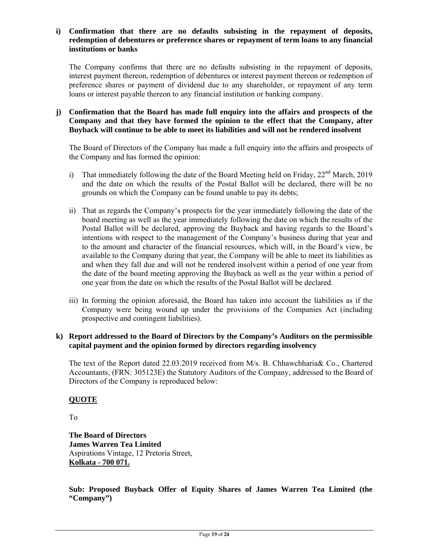#### **i) Confirmation that there are no defaults subsisting in the repayment of deposits, redemption of debentures or preference shares or repayment of term loans to any financial institutions or banks**

The Company confirms that there are no defaults subsisting in the repayment of deposits, interest payment thereon, redemption of debentures or interest payment thereon or redemption of preference shares or payment of dividend due to any shareholder, or repayment of any term loans or interest payable thereon to any financial institution or banking company.

#### **j) Confirmation that the Board has made full enquiry into the affairs and prospects of the Company and that they have formed the opinion to the effect that the Company, after Buyback will continue to be able to meet its liabilities and will not be rendered insolvent**

The Board of Directors of the Company has made a full enquiry into the affairs and prospects of the Company and has formed the opinion:

- i) That immediately following the date of the Board Meeting held on Friday,  $22<sup>nd</sup>$  March, 2019 and the date on which the results of the Postal Ballot will be declared, there will be no grounds on which the Company can be found unable to pay its debts;
- ii) That as regards the Company's prospects for the year immediately following the date of the board meeting as well as the year immediately following the date on which the results of the Postal Ballot will be declared, approving the Buyback and having regards to the Board's intentions with respect to the management of the Company's business during that year and to the amount and character of the financial resources, which will, in the Board's view, be available to the Company during that year, the Company will be able to meet its liabilities as and when they fall due and will not be rendered insolvent within a period of one year from the date of the board meeting approving the Buyback as well as the year within a period of one year from the date on which the results of the Postal Ballot will be declared.
- iii) In forming the opinion aforesaid, the Board has taken into account the liabilities as if the Company were being wound up under the provisions of the Companies Act (including prospective and contingent liabilities).

### **k) Report addressed to the Board of Directors by the Company's Auditors on the permissible capital payment and the opinion formed by directors regarding insolvency**

The text of the Report dated 22.03.2019 received from M/s. B. Chhawchharia& Co., Chartered Accountants, (FRN: 305123E) the Statutory Auditors of the Company, addressed to the Board of Directors of the Company is reproduced below:

# **QUOTE**

To

**The Board of Directors James Warren Tea Limited**  Aspirations Vintage, 12 Pretoria Street, **Kolkata - 700 071.**

**Sub: Proposed Buyback Offer of Equity Shares of James Warren Tea Limited (the "Company")**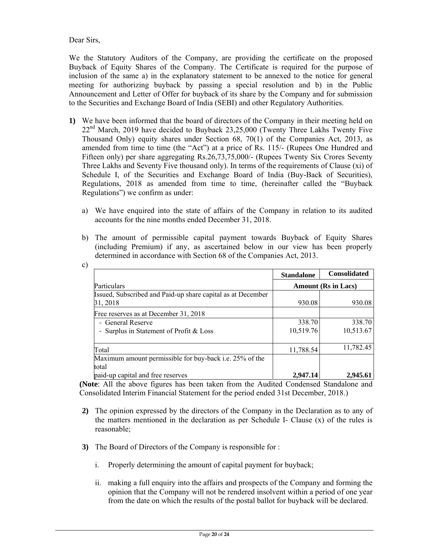Dear Sirs,

We the Statutory Auditors of the Company, are providing the certificate on the proposed Buyback of Equity Shares of the Company. The Certificate is required for the purpose of inclusion of the same a) in the explanatory statement to be annexed to the notice for general meeting for authorizing buyback by passing a special resolution and b) in the Public Announcement and Letter of Offer for buyback of its share by the Company and for submission to the Securities and Exchange Board of India (SEBI) and other Regulatory Authorities.

- **1)** We have been informed that the board of directors of the Company in their meeting held on  $22<sup>nd</sup>$  March, 2019 have decided to Buyback 23,25,000 (Twenty Three Lakhs Twenty Five Thousand Only) equity shares under Section 68, 70(1) of the Companies Act, 2013, as amended from time to time (the "Act") at a price of Rs. 115/- (Rupees One Hundred and Fifteen only) per share aggregating Rs.26,73,75,000/- (Rupees Twenty Six Crores Seventy Three Lakhs and Seventy Five thousand only). In terms of the requirements of Clause (xi) of Schedule I, of the Securities and Exchange Board of India (Buy-Back of Securities), Regulations, 2018 as amended from time to time, (hereinafter called the "Buyback Regulations") we confirm as under:
	- a) We have enquired into the state of affairs of the Company in relation to its audited accounts for the nine months ended December 31, 2018.
	- b) The amount of permissible capital payment towards Buyback of Equity Shares (including Premium) if any, as ascertained below in our view has been properly determined in accordance with Section 68 of the Companies Act, 2013.

|                                                             | <b>Standalone</b> | <b>Consolidated</b>        |
|-------------------------------------------------------------|-------------------|----------------------------|
| Particulars                                                 |                   | <b>Amount (Rs in Lacs)</b> |
| Issued, Subscribed and Paid-up share capital as at December |                   |                            |
| 31, 2018                                                    | 930.08            | 930.08                     |
| Free reserves as at December 31, 2018                       |                   |                            |
| - General Reserve                                           | 338.70            | 338.70                     |
| - Surplus in Statement of Profit & Loss                     | 10,519.76         | 10,513.67                  |
| Total                                                       | 11,788.54         | 11,782.45                  |
| Maximum amount permissible for buy-back i.e. 25% of the     |                   |                            |
| total                                                       |                   |                            |
| paid-up capital and free reserves                           | 2,947.14          | 2,945.61                   |

**(Note**: All the above figures has been taken from the Audited Condensed Standalone and Consolidated Interim Financial Statement for the period ended 31st December, 2018.)

- **2)** The opinion expressed by the directors of the Company in the Declaration as to any of the matters mentioned in the declaration as per Schedule I- Clause (x) of the rules is reasonable;
- **3)** The Board of Directors of the Company is responsible for :
	- i. Properly determining the amount of capital payment for buyback;
	- ii. making a full enquiry into the affairs and prospects of the Company and forming the opinion that the Company will not be rendered insolvent within a period of one year from the date on which the results of the postal ballot for buyback will be declared.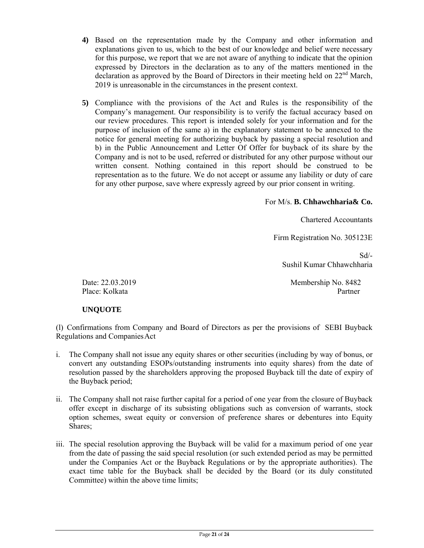- **4)** Based on the representation made by the Company and other information and explanations given to us, which to the best of our knowledge and belief were necessary for this purpose, we report that we are not aware of anything to indicate that the opinion expressed by Directors in the declaration as to any of the matters mentioned in the declaration as approved by the Board of Directors in their meeting held on  $22<sup>nd</sup>$  March, 2019 is unreasonable in the circumstances in the present context.
- **5)** Compliance with the provisions of the Act and Rules is the responsibility of the Company's management. Our responsibility is to verify the factual accuracy based on our review procedures. This report is intended solely for your information and for the purpose of inclusion of the same a) in the explanatory statement to be annexed to the notice for general meeting for authorizing buyback by passing a special resolution and b) in the Public Announcement and Letter Of Offer for buyback of its share by the Company and is not to be used, referred or distributed for any other purpose without our written consent. Nothing contained in this report should be construed to be representation as to the future. We do not accept or assume any liability or duty of care for any other purpose, save where expressly agreed by our prior consent in writing.

For M/s. **B. Chhawchharia& Co.** 

Chartered Accountants

Firm Registration No. 305123E

Sd/- Sushil Kumar Chhawchharia

Date: 22.03.2019 Membership No. 8482 Place: Kolkata Partner

### **UNQUOTE**

(l) Confirmations from Company and Board of Directors as per the provisions of SEBI Buyback Regulations and Companies Act

- i. The Company shall not issue any equity shares or other securities (including by way of bonus, or convert any outstanding ESOPs/outstanding instruments into equity shares) from the date of resolution passed by the shareholders approving the proposed Buyback till the date of expiry of the Buyback period;
- ii. The Company shall not raise further capital for a period of one year from the closure of Buyback offer except in discharge of its subsisting obligations such as conversion of warrants, stock option schemes, sweat equity or conversion of preference shares or debentures into Equity Shares;
- iii. The special resolution approving the Buyback will be valid for a maximum period of one year from the date of passing the said special resolution (or such extended period as may be permitted under the Companies Act or the Buyback Regulations or by the appropriate authorities). The exact time table for the Buyback shall be decided by the Board (or its duly constituted Committee) within the above time limits;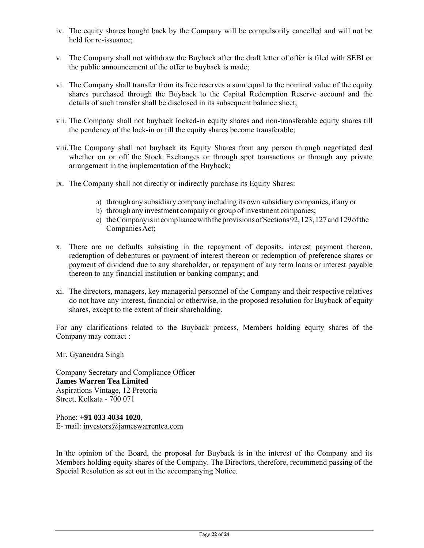- iv. The equity shares bought back by the Company will be compulsorily cancelled and will not be held for re-issuance;
- v. The Company shall not withdraw the Buyback after the draft letter of offer is filed with SEBI or the public announcement of the offer to buyback is made;
- vi. The Company shall transfer from its free reserves a sum equal to the nominal value of the equity shares purchased through the Buyback to the Capital Redemption Reserve account and the details of such transfer shall be disclosed in its subsequent balance sheet;
- vii. The Company shall not buyback locked-in equity shares and non-transferable equity shares till the pendency of the lock-in or till the equity shares become transferable;
- viii.The Company shall not buyback its Equity Shares from any person through negotiated deal whether on or off the Stock Exchanges or through spot transactions or through any private arrangement in the implementation of the Buyback;
- ix. The Company shall not directly or indirectly purchase its Equity Shares:
	- a) through any subsidiary company including its own subsidiary companies, if any or
	- b) through any investment company or group of investment companies;
	- c) the Company is in compliance with the provisions of Sections 92, 123, 127 and 129 of the Companies Act;
- x. There are no defaults subsisting in the repayment of deposits, interest payment thereon, redemption of debentures or payment of interest thereon or redemption of preference shares or payment of dividend due to any shareholder, or repayment of any term loans or interest payable thereon to any financial institution or banking company; and
- xi. The directors, managers, key managerial personnel of the Company and their respective relatives do not have any interest, financial or otherwise, in the proposed resolution for Buyback of equity shares, except to the extent of their shareholding.

For any clarifications related to the Buyback process, Members holding equity shares of the Company may contact :

Mr. Gyanendra Singh

Company Secretary and Compliance Officer **James Warren Tea Limited**  Aspirations Vintage, 12 Pretoria Street, Kolkata - 700 071

Phone: **+91 033 4034 1020**, E- mail: investors@jameswarrentea.com

In the opinion of the Board, the proposal for Buyback is in the interest of the Company and its Members holding equity shares of the Company. The Directors, therefore, recommend passing of the Special Resolution as set out in the accompanying Notice.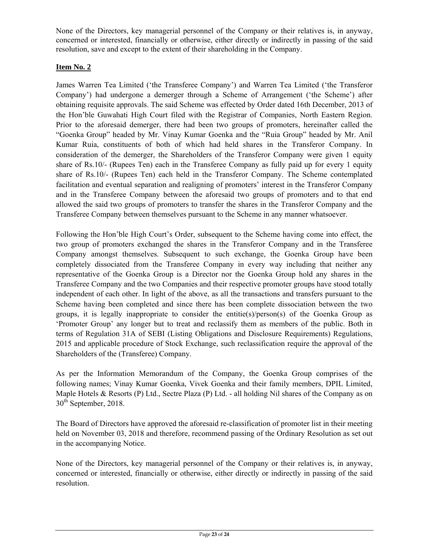None of the Directors, key managerial personnel of the Company or their relatives is, in anyway, concerned or interested, financially or otherwise, either directly or indirectly in passing of the said resolution, save and except to the extent of their shareholding in the Company.

### **Item No. 2**

James Warren Tea Limited ('the Transferee Company') and Warren Tea Limited ('the Transferor Company') had undergone a demerger through a Scheme of Arrangement ('the Scheme') after obtaining requisite approvals. The said Scheme was effected by Order dated 16th December, 2013 of the Hon'ble Guwahati High Court filed with the Registrar of Companies, North Eastern Region. Prior to the aforesaid demerger, there had been two groups of promoters, hereinafter called the "Goenka Group" headed by Mr. Vinay Kumar Goenka and the "Ruia Group" headed by Mr. Anil Kumar Ruia, constituents of both of which had held shares in the Transferor Company. In consideration of the demerger, the Shareholders of the Transferor Company were given 1 equity share of Rs.10/- (Rupees Ten) each in the Transferee Company as fully paid up for every 1 equity share of Rs.10/- (Rupees Ten) each held in the Transferor Company. The Scheme contemplated facilitation and eventual separation and realigning of promoters' interest in the Transferor Company and in the Transferee Company between the aforesaid two groups of promoters and to that end allowed the said two groups of promoters to transfer the shares in the Transferor Company and the Transferee Company between themselves pursuant to the Scheme in any manner whatsoever.

Following the Hon'ble High Court's Order, subsequent to the Scheme having come into effect, the two group of promoters exchanged the shares in the Transferor Company and in the Transferee Company amongst themselves. Subsequent to such exchange, the Goenka Group have been completely dissociated from the Transferee Company in every way including that neither any representative of the Goenka Group is a Director nor the Goenka Group hold any shares in the Transferee Company and the two Companies and their respective promoter groups have stood totally independent of each other. In light of the above, as all the transactions and transfers pursuant to the Scheme having been completed and since there has been complete dissociation between the two groups, it is legally inappropriate to consider the entitie(s)/person(s) of the Goenka Group as 'Promoter Group' any longer but to treat and reclassify them as members of the public. Both in terms of Regulation 31A of SEBI (Listing Obligations and Disclosure Requirements) Regulations, 2015 and applicable procedure of Stock Exchange, such reclassification require the approval of the Shareholders of the (Transferee) Company.

As per the Information Memorandum of the Company, the Goenka Group comprises of the following names; Vinay Kumar Goenka, Vivek Goenka and their family members, DPIL Limited, Maple Hotels & Resorts (P) Ltd., Sectre Plaza (P) Ltd. - all holding Nil shares of the Company as on  $30<sup>th</sup>$  September, 2018.

The Board of Directors have approved the aforesaid re-classification of promoter list in their meeting held on November 03, 2018 and therefore, recommend passing of the Ordinary Resolution as set out in the accompanying Notice.

None of the Directors, key managerial personnel of the Company or their relatives is, in anyway, concerned or interested, financially or otherwise, either directly or indirectly in passing of the said resolution.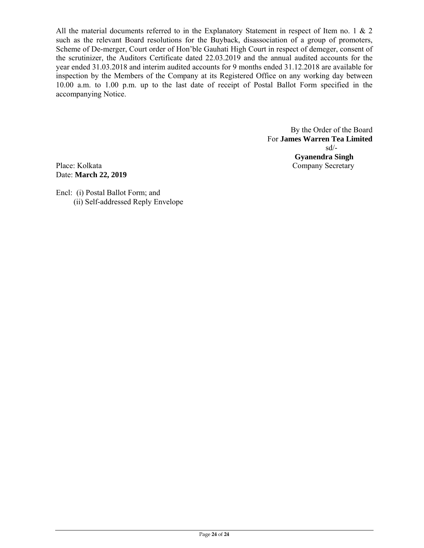All the material documents referred to in the Explanatory Statement in respect of Item no. 1 & 2 such as the relevant Board resolutions for the Buyback, disassociation of a group of promoters, Scheme of De-merger, Court order of Hon'ble Gauhati High Court in respect of demeger, consent of the scrutinizer, the Auditors Certificate dated 22.03.2019 and the annual audited accounts for the year ended 31.03.2018 and interim audited accounts for 9 months ended 31.12.2018 are available for inspection by the Members of the Company at its Registered Office on any working day between 10.00 a.m. to 1.00 p.m. up to the last date of receipt of Postal Ballot Form specified in the accompanying Notice.

By the Order of the Board For **James Warren Tea Limited** sd/- **Gyanendra Singh** Place: Kolkata Company Secretary

Date: **March 22, 2019**

Encl: (i) Postal Ballot Form; and (ii) Self-addressed Reply Envelope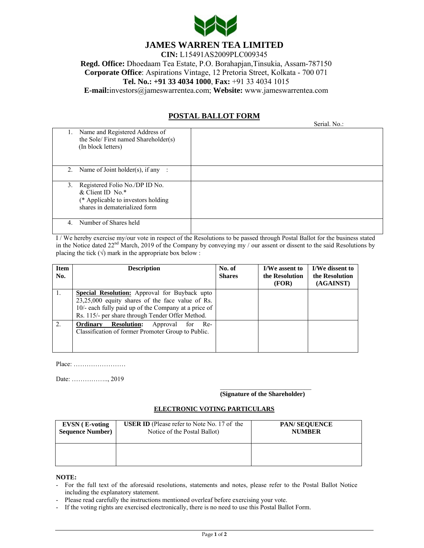

# **JAMES WARREN TEA LIMITED**

**CIN:** L15491AS2009PLC009345 **Regd. Office:** Dhoedaam Tea Estate, P.O. Borahapjan,Tinsukia, Assam-787150 **Corporate Office**: Aspirations Vintage, 12 Pretoria Street, Kolkata - 700 071 **Tel. No.: +91 33 4034 1000**, **Fax:** +91 33 4034 1015 **E-mail:**investors@jameswarrentea.com; **Website:** www.jameswarrentea.com

# **POSTAL BALLOT FORM**

|                                                                                                                                    | Serial. No.: |
|------------------------------------------------------------------------------------------------------------------------------------|--------------|
| 1. Name and Registered Address of<br>the Sole/First named Shareholder(s)<br>(In block letters)                                     |              |
| Name of Joint holder(s), if any :<br>2.                                                                                            |              |
| Registered Folio No./DP ID No.<br>3.<br>& Client ID No. $*$<br>(* Applicable to investors holding<br>shares in dematerialized form |              |
| Number of Shares held<br>4.                                                                                                        |              |

I / We hereby exercise my/our vote in respect of the Resolutions to be passed through Postal Ballot for the business stated in the Notice dated 22<sup>nd</sup> March, 2019 of the Company by conveying my / our assent or dissent to the said Resolutions by placing the tick  $(\sqrt{})$  mark in the appropriate box below :

| <b>Item</b><br>No. | <b>Description</b>                                                                                                                                                                                                   | No. of<br><b>Shares</b> | <b>I/We assent to</b><br>the Resolution<br>(FOR) | I/We dissent to<br>the Resolution<br>(AGAINST) |
|--------------------|----------------------------------------------------------------------------------------------------------------------------------------------------------------------------------------------------------------------|-------------------------|--------------------------------------------------|------------------------------------------------|
|                    | <b>Special Resolution:</b> Approval for Buyback upto<br>23,25,000 equity shares of the face value of Rs.<br>10/- each fully paid up of the Company at a price of<br>Rs. 115/- per share through Tender Offer Method. |                         |                                                  |                                                |
| $\overline{2}$ .   | <b>Ordinary</b><br><b>Resolution:</b><br>Approval<br>Re-<br>for<br>Classification of former Promoter Group to Public.                                                                                                |                         |                                                  |                                                |

Place: ……………………

Date: …………….., 2019

#### **(Signature of the Shareholder)**

#### **ELECTRONIC VOTING PARTICULARS**

| EVSN (E-voting)          | <b>USER ID</b> (Please refer to Note No. 17 of the | <b>PAN/SEQUENCE</b> |
|--------------------------|----------------------------------------------------|---------------------|
| <b>Sequence Number</b> ) | Notice of the Postal Ballot)                       | <b>NUMBER</b>       |
|                          |                                                    |                     |

**NOTE:** 

- For the full text of the aforesaid resolutions, statements and notes, please refer to the Postal Ballot Notice including the explanatory statement.
- Please read carefully the instructions mentioned overleaf before exercising your vote.
- If the voting rights are exercised electronically, there is no need to use this Postal Ballot Form.